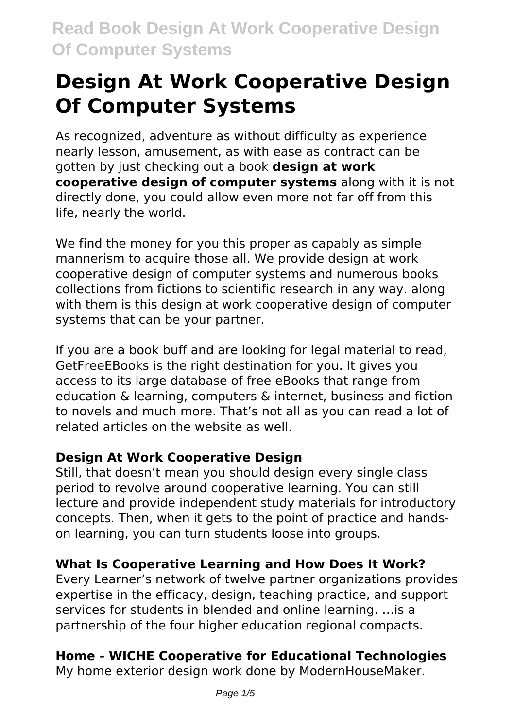As recognized, adventure as without difficulty as experience nearly lesson, amusement, as with ease as contract can be gotten by just checking out a book **design at work cooperative design of computer systems** along with it is not directly done, you could allow even more not far off from this life, nearly the world.

We find the money for you this proper as capably as simple mannerism to acquire those all. We provide design at work cooperative design of computer systems and numerous books collections from fictions to scientific research in any way. along with them is this design at work cooperative design of computer systems that can be your partner.

If you are a book buff and are looking for legal material to read, GetFreeEBooks is the right destination for you. It gives you access to its large database of free eBooks that range from education & learning, computers & internet, business and fiction to novels and much more. That's not all as you can read a lot of related articles on the website as well.

# **Design At Work Cooperative Design**

Still, that doesn't mean you should design every single class period to revolve around cooperative learning. You can still lecture and provide independent study materials for introductory concepts. Then, when it gets to the point of practice and handson learning, you can turn students loose into groups.

# **What Is Cooperative Learning and How Does It Work?**

Every Learner's network of twelve partner organizations provides expertise in the efficacy, design, teaching practice, and support services for students in blended and online learning. …is a partnership of the four higher education regional compacts.

# **Home - WICHE Cooperative for Educational Technologies**

My home exterior design work done by ModernHouseMaker.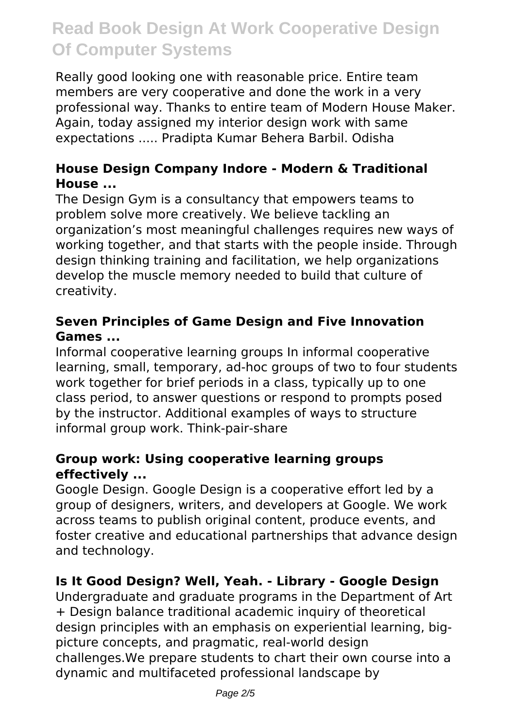Really good looking one with reasonable price. Entire team members are very cooperative and done the work in a very professional way. Thanks to entire team of Modern House Maker. Again, today assigned my interior design work with same expectations ..... Pradipta Kumar Behera Barbil. Odisha

### **House Design Company Indore - Modern & Traditional House ...**

The Design Gym is a consultancy that empowers teams to problem solve more creatively. We believe tackling an organization's most meaningful challenges requires new ways of working together, and that starts with the people inside. Through design thinking training and facilitation, we help organizations develop the muscle memory needed to build that culture of creativity.

### **Seven Principles of Game Design and Five Innovation Games ...**

Informal cooperative learning groups In informal cooperative learning, small, temporary, ad-hoc groups of two to four students work together for brief periods in a class, typically up to one class period, to answer questions or respond to prompts posed by the instructor. Additional examples of ways to structure informal group work. Think-pair-share

#### **Group work: Using cooperative learning groups effectively ...**

Google Design. Google Design is a cooperative effort led by a group of designers, writers, and developers at Google. We work across teams to publish original content, produce events, and foster creative and educational partnerships that advance design and technology.

# **Is It Good Design? Well, Yeah. - Library - Google Design**

Undergraduate and graduate programs in the Department of Art + Design balance traditional academic inquiry of theoretical design principles with an emphasis on experiential learning, bigpicture concepts, and pragmatic, real-world design challenges.We prepare students to chart their own course into a dynamic and multifaceted professional landscape by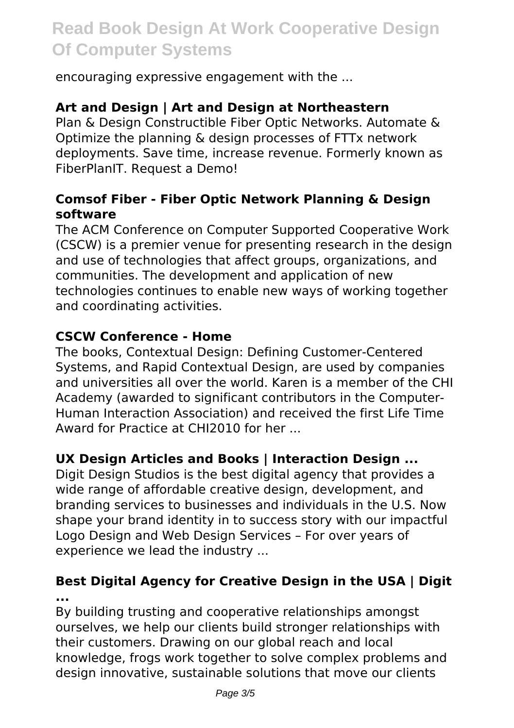encouraging expressive engagement with the ...

#### **Art and Design | Art and Design at Northeastern**

Plan & Design Constructible Fiber Optic Networks. Automate & Optimize the planning & design processes of FTTx network deployments. Save time, increase revenue. Formerly known as FiberPlanIT. Request a Demo!

#### **Comsof Fiber - Fiber Optic Network Planning & Design software**

The ACM Conference on Computer Supported Cooperative Work (CSCW) is a premier venue for presenting research in the design and use of technologies that affect groups, organizations, and communities. The development and application of new technologies continues to enable new ways of working together and coordinating activities.

#### **CSCW Conference - Home**

The books, Contextual Design: Defining Customer-Centered Systems, and Rapid Contextual Design, are used by companies and universities all over the world. Karen is a member of the CHI Academy (awarded to significant contributors in the Computer-Human Interaction Association) and received the first Life Time Award for Practice at CHI2010 for her ...

#### **UX Design Articles and Books | Interaction Design ...**

Digit Design Studios is the best digital agency that provides a wide range of affordable creative design, development, and branding services to businesses and individuals in the U.S. Now shape your brand identity in to success story with our impactful Logo Design and Web Design Services – For over years of experience we lead the industry ...

#### **Best Digital Agency for Creative Design in the USA | Digit ...**

By building trusting and cooperative relationships amongst ourselves, we help our clients build stronger relationships with their customers. Drawing on our global reach and local knowledge, frogs work together to solve complex problems and design innovative, sustainable solutions that move our clients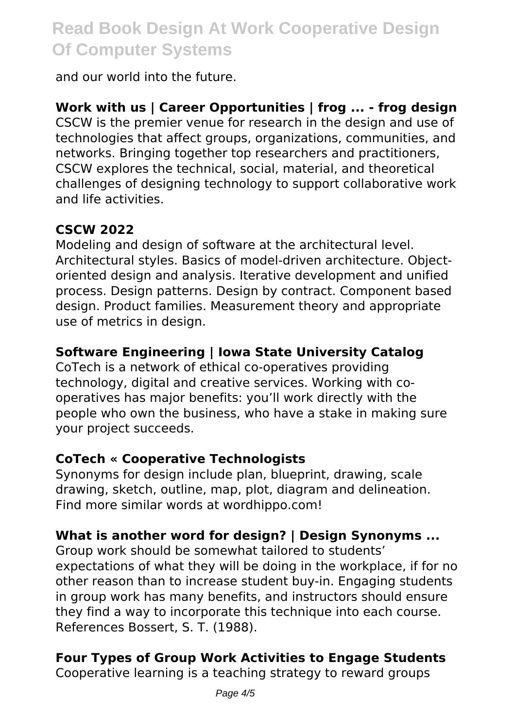and our world into the future.

**Work with us | Career Opportunities | frog ... - frog design** CSCW is the premier venue for research in the design and use of technologies that affect groups, organizations, communities, and networks. Bringing together top researchers and practitioners, CSCW explores the technical, social, material, and theoretical challenges of designing technology to support collaborative work and life activities.

# **CSCW 2022**

Modeling and design of software at the architectural level. Architectural styles. Basics of model-driven architecture. Objectoriented design and analysis. Iterative development and unified process. Design patterns. Design by contract. Component based design. Product families. Measurement theory and appropriate use of metrics in design.

# **Software Engineering | Iowa State University Catalog**

CoTech is a network of ethical co-operatives providing technology, digital and creative services. Working with cooperatives has major benefits: you'll work directly with the people who own the business, who have a stake in making sure your project succeeds.

# **CoTech « Cooperative Technologists**

Synonyms for design include plan, blueprint, drawing, scale drawing, sketch, outline, map, plot, diagram and delineation. Find more similar words at wordhippo.com!

# **What is another word for design? | Design Synonyms ...**

Group work should be somewhat tailored to students' expectations of what they will be doing in the workplace, if for no other reason than to increase student buy-in. Engaging students in group work has many benefits, and instructors should ensure they find a way to incorporate this technique into each course. References Bossert, S. T. (1988).

# **Four Types of Group Work Activities to Engage Students**

Cooperative learning is a teaching strategy to reward groups